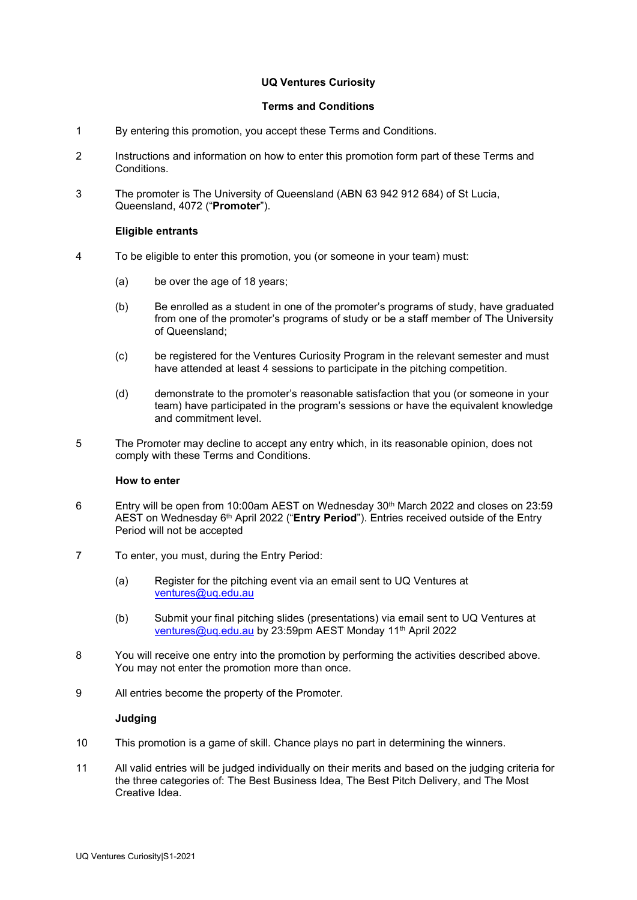# **UQ Ventures Curiosity**

## **Terms and Conditions**

- 1 By entering this promotion, you accept these Terms and Conditions.
- 2 Instructions and information on how to enter this promotion form part of these Terms and Conditions.
- 3 The promoter is The University of Queensland (ABN 63 942 912 684) of St Lucia, Queensland, 4072 ("**Promoter**").

## **Eligible entrants**

- 4 To be eligible to enter this promotion, you (or someone in your team) must:
	- (a) be over the age of 18 years;
	- (b) Be enrolled as a student in one of the promoter's programs of study, have graduated from one of the promoter's programs of study or be a staff member of The University of Queensland;
	- (c) be registered for the Ventures Curiosity Program in the relevant semester and must have attended at least 4 sessions to participate in the pitching competition.
	- (d) demonstrate to the promoter's reasonable satisfaction that you (or someone in your team) have participated in the program's sessions or have the equivalent knowledge and commitment level.
- 5 The Promoter may decline to accept any entry which, in its reasonable opinion, does not comply with these Terms and Conditions.

### **How to enter**

- 6 Entry will be open from 10:00am AEST on Wednesday 30th March 2022 and closes on 23:59 AEST on Wednesday 6th April 2022 ("**Entry Period**"). Entries received outside of the Entry Period will not be accepted
- 7 To enter, you must, during the Entry Period:
	- (a) Register for the pitching event via an email sent to UQ Ventures at [ventures@uq.edu.au](mailto:ventures@uq.edu.au)
	- (b) Submit your final pitching slides (presentations) via email sent to UQ Ventures at [ventures@uq.edu.au](mailto:ventures@uq.edu.au) by 23:59pm AEST Monday 11th April 2022
- 8 You will receive one entry into the promotion by performing the activities described above. You may not enter the promotion more than once.
- 9 All entries become the property of the Promoter.

### **Judging**

- 10 This promotion is a game of skill. Chance plays no part in determining the winners.
- 11 All valid entries will be judged individually on their merits and based on the judging criteria for the three categories of: The Best Business Idea, The Best Pitch Delivery, and The Most Creative Idea.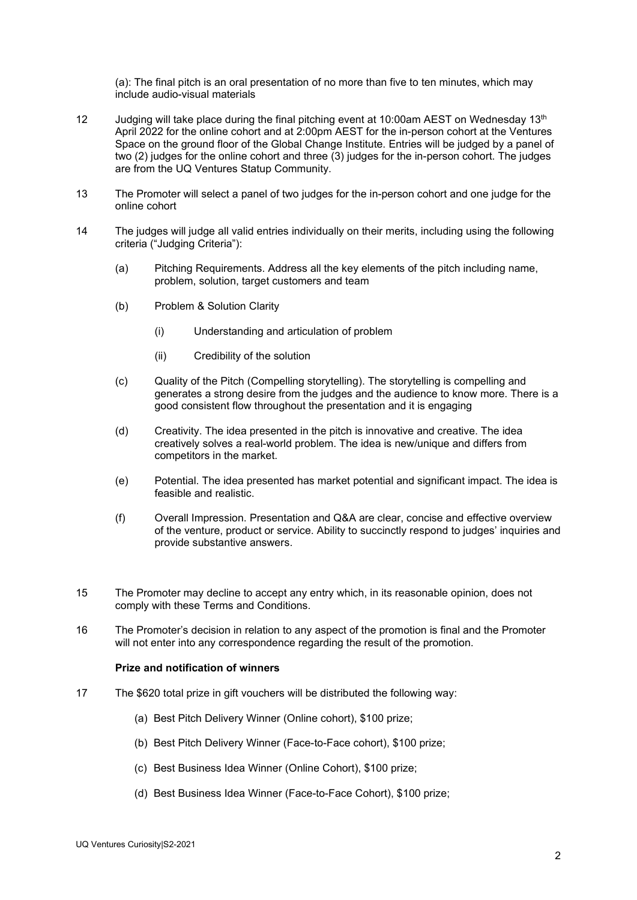(a): The final pitch is an oral presentation of no more than five to ten minutes, which may include audio-visual materials

- 12 Judging will take place during the final pitching event at 10:00am AEST on Wednesday 13<sup>th</sup> April 2022 for the online cohort and at 2:00pm AEST for the in-person cohort at the Ventures Space on the ground floor of the Global Change Institute. Entries will be judged by a panel of two (2) judges for the online cohort and three (3) judges for the in-person cohort. The judges are from the UQ Ventures Statup Community.
- 13 The Promoter will select a panel of two judges for the in-person cohort and one judge for the online cohort
- 14 The judges will judge all valid entries individually on their merits, including using the following criteria ("Judging Criteria"):
	- (a) Pitching Requirements. Address all the key elements of the pitch including name, problem, solution, target customers and team
	- (b) Problem & Solution Clarity
		- (i) Understanding and articulation of problem
		- (ii) Credibility of the solution
	- (c) Quality of the Pitch (Compelling storytelling). The storytelling is compelling and generates a strong desire from the judges and the audience to know more. There is a good consistent flow throughout the presentation and it is engaging
	- (d) Creativity. The idea presented in the pitch is innovative and creative. The idea creatively solves a real-world problem. The idea is new/unique and differs from competitors in the market.
	- (e) Potential. The idea presented has market potential and significant impact. The idea is feasible and realistic.
	- (f) Overall Impression. Presentation and Q&A are clear, concise and effective overview of the venture, product or service. Ability to succinctly respond to judges' inquiries and provide substantive answers.
- 15 The Promoter may decline to accept any entry which, in its reasonable opinion, does not comply with these Terms and Conditions.
- 16 The Promoter's decision in relation to any aspect of the promotion is final and the Promoter will not enter into any correspondence regarding the result of the promotion.

#### **Prize and notification of winners**

- 17 The \$620 total prize in gift vouchers will be distributed the following way:
	- (a) Best Pitch Delivery Winner (Online cohort), \$100 prize;
	- (b) Best Pitch Delivery Winner (Face-to-Face cohort), \$100 prize;
	- (c) Best Business Idea Winner (Online Cohort), \$100 prize;
	- (d) Best Business Idea Winner (Face-to-Face Cohort), \$100 prize;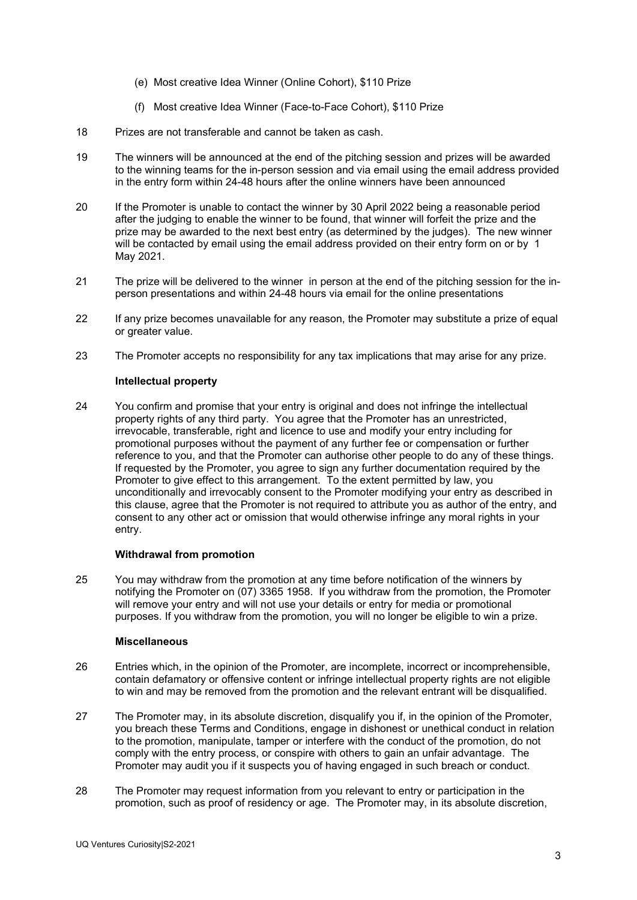- (e) Most creative Idea Winner (Online Cohort), \$110 Prize
- (f) Most creative Idea Winner (Face-to-Face Cohort), \$110 Prize
- 18 Prizes are not transferable and cannot be taken as cash.
- 19 The winners will be announced at the end of the pitching session and prizes will be awarded to the winning teams for the in-person session and via email using the email address provided in the entry form within 24-48 hours after the online winners have been announced
- 20 If the Promoter is unable to contact the winner by 30 April 2022 being a reasonable period after the judging to enable the winner to be found, that winner will forfeit the prize and the prize may be awarded to the next best entry (as determined by the judges). The new winner will be contacted by email using the email address provided on their entry form on or by 1 May 2021.
- 21 The prize will be delivered to the winner in person at the end of the pitching session for the inperson presentations and within 24-48 hours via email for the online presentations
- 22 If any prize becomes unavailable for any reason, the Promoter may substitute a prize of equal or greater value.
- 23 The Promoter accepts no responsibility for any tax implications that may arise for any prize.

### **Intellectual property**

24 You confirm and promise that your entry is original and does not infringe the intellectual property rights of any third party. You agree that the Promoter has an unrestricted, irrevocable, transferable, right and licence to use and modify your entry including for promotional purposes without the payment of any further fee or compensation or further reference to you, and that the Promoter can authorise other people to do any of these things. If requested by the Promoter, you agree to sign any further documentation required by the Promoter to give effect to this arrangement. To the extent permitted by law, you unconditionally and irrevocably consent to the Promoter modifying your entry as described in this clause, agree that the Promoter is not required to attribute you as author of the entry, and consent to any other act or omission that would otherwise infringe any moral rights in your entry.

### **Withdrawal from promotion**

25 You may withdraw from the promotion at any time before notification of the winners by notifying the Promoter on (07) 3365 1958. If you withdraw from the promotion, the Promoter will remove your entry and will not use your details or entry for media or promotional purposes. If you withdraw from the promotion, you will no longer be eligible to win a prize.

### **Miscellaneous**

- 26 Entries which, in the opinion of the Promoter, are incomplete, incorrect or incomprehensible, contain defamatory or offensive content or infringe intellectual property rights are not eligible to win and may be removed from the promotion and the relevant entrant will be disqualified.
- 27 The Promoter may, in its absolute discretion, disqualify you if, in the opinion of the Promoter, you breach these Terms and Conditions, engage in dishonest or unethical conduct in relation to the promotion, manipulate, tamper or interfere with the conduct of the promotion, do not comply with the entry process, or conspire with others to gain an unfair advantage. The Promoter may audit you if it suspects you of having engaged in such breach or conduct.
- 28 The Promoter may request information from you relevant to entry or participation in the promotion, such as proof of residency or age. The Promoter may, in its absolute discretion,